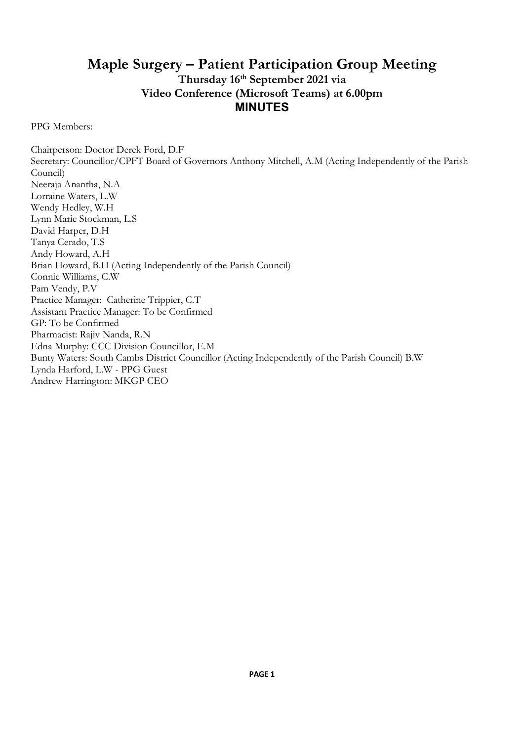# Maple Surgery – Patient Participation Group Meeting Thursday 16<sup>th</sup> September 2021 via Video Conference (Microsoft Teams) at 6.00pm MINUTES

PPG Members:

Chairperson: Doctor Derek Ford, D.F Secretary: Councillor/CPFT Board of Governors Anthony Mitchell, A.M (Acting Independently of the Parish Council) Neeraja Anantha, N.A Lorraine Waters, L.W Wendy Hedley, W.H Lynn Marie Stockman, L.S David Harper, D.H Tanya Cerado, T.S Andy Howard, A.H Brian Howard, B.H (Acting Independently of the Parish Council) Connie Williams, C.W Pam Vendy, P.V Practice Manager: Catherine Trippier, C.T Assistant Practice Manager: To be Confirmed GP: To be Confirmed Pharmacist: Rajiv Nanda, R.N Edna Murphy: CCC Division Councillor, E.M Bunty Waters: South Cambs District Councillor (Acting Independently of the Parish Council) B.W Lynda Harford, L.W - PPG Guest Andrew Harrington: MKGP CEO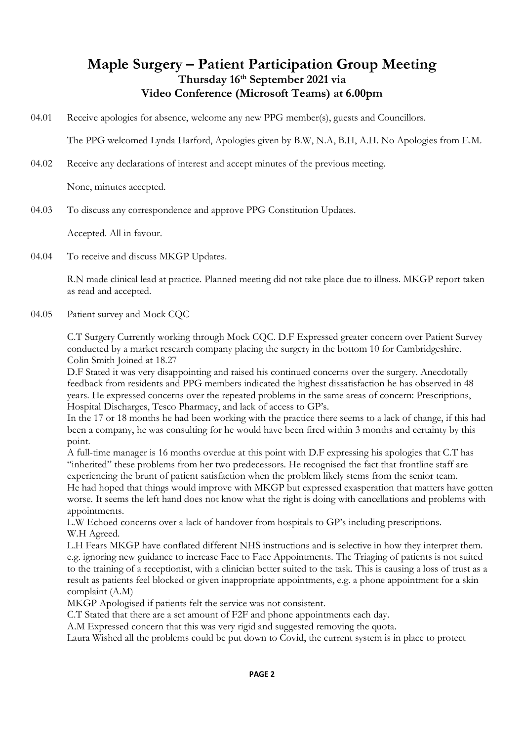# Maple Surgery – Patient Participation Group Meeting Thursday 16<sup>th</sup> September 2021 via Video Conference (Microsoft Teams) at 6.00pm

04.01 Receive apologies for absence, welcome any new PPG member(s), guests and Councillors.

The PPG welcomed Lynda Harford, Apologies given by B.W, N.A, B.H, A.H. No Apologies from E.M.

04.02 Receive any declarations of interest and accept minutes of the previous meeting.

None, minutes accepted.

04.03 To discuss any correspondence and approve PPG Constitution Updates.

Accepted. All in favour.

04.04 To receive and discuss MKGP Updates.

> R.N made clinical lead at practice. Planned meeting did not take place due to illness. MKGP report taken as read and accepted.

04.05 Patient survey and Mock CQC

> C.T Surgery Currently working through Mock CQC. D.F Expressed greater concern over Patient Survey conducted by a market research company placing the surgery in the bottom 10 for Cambridgeshire. Colin Smith Joined at 18.27

D.F Stated it was very disappointing and raised his continued concerns over the surgery. Anecdotally feedback from residents and PPG members indicated the highest dissatisfaction he has observed in 48 years. He expressed concerns over the repeated problems in the same areas of concern: Prescriptions, Hospital Discharges, Tesco Pharmacy, and lack of access to GP's.

In the 17 or 18 months he had been working with the practice there seems to a lack of change, if this had been a company, he was consulting for he would have been fired within 3 months and certainty by this point.

A full-time manager is 16 months overdue at this point with D.F expressing his apologies that C.T has "inherited" these problems from her two predecessors. He recognised the fact that frontline staff are experiencing the brunt of patient satisfaction when the problem likely stems from the senior team. He had hoped that things would improve with MKGP but expressed exasperation that matters have gotten worse. It seems the left hand does not know what the right is doing with cancellations and problems with appointments.

L.W Echoed concerns over a lack of handover from hospitals to GP's including prescriptions. W.H Agreed.

L.H Fears MKGP have conflated different NHS instructions and is selective in how they interpret them. e.g. ignoring new guidance to increase Face to Face Appointments. The Triaging of patients is not suited to the training of a receptionist, with a clinician better suited to the task. This is causing a loss of trust as a result as patients feel blocked or given inappropriate appointments, e.g. a phone appointment for a skin complaint (A.M)

MKGP Apologised if patients felt the service was not consistent.

C.T Stated that there are a set amount of F2F and phone appointments each day.

A.M Expressed concern that this was very rigid and suggested removing the quota.

Laura Wished all the problems could be put down to Covid, the current system is in place to protect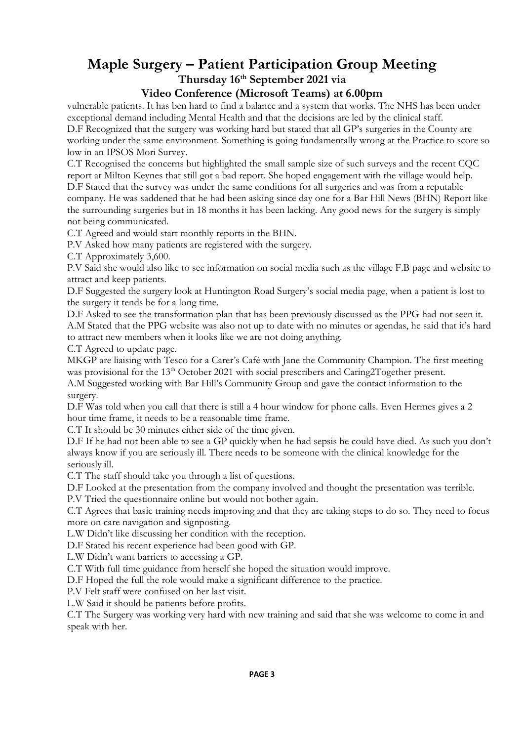# Maple Surgery – Patient Participation Group Meeting Thursday 16th September 2021 via

### Video Conference (Microsoft Teams) at 6.00pm

vulnerable patients. It has ben hard to find a balance and a system that works. The NHS has been under exceptional demand including Mental Health and that the decisions are led by the clinical staff.

D.F Recognized that the surgery was working hard but stated that all GP's surgeries in the County are working under the same environment. Something is going fundamentally wrong at the Practice to score so low in an IPSOS Mori Survey.

C.T Recognised the concerns but highlighted the small sample size of such surveys and the recent CQC report at Milton Keynes that still got a bad report. She hoped engagement with the village would help. D.F Stated that the survey was under the same conditions for all surgeries and was from a reputable company. He was saddened that he had been asking since day one for a Bar Hill News (BHN) Report like the surrounding surgeries but in 18 months it has been lacking. Any good news for the surgery is simply not being communicated.

C.T Agreed and would start monthly reports in the BHN.

P.V Asked how many patients are registered with the surgery.

C.T Approximately 3,600.

P.V Said she would also like to see information on social media such as the village F.B page and website to attract and keep patients.

D.F Suggested the surgery look at Huntington Road Surgery's social media page, when a patient is lost to the surgery it tends be for a long time.

D.F Asked to see the transformation plan that has been previously discussed as the PPG had not seen it. A.M Stated that the PPG website was also not up to date with no minutes or agendas, he said that it's hard to attract new members when it looks like we are not doing anything.

C.T Agreed to update page.

MKGP are liaising with Tesco for a Carer's Café with Jane the Community Champion. The first meeting was provisional for the 13<sup>th</sup> October 2021 with social prescribers and Caring2Together present.

A.M Suggested working with Bar Hill's Community Group and gave the contact information to the surgery.

D.F Was told when you call that there is still a 4 hour window for phone calls. Even Hermes gives a 2 hour time frame, it needs to be a reasonable time frame.

C.T It should be 30 minutes either side of the time given.

D.F If he had not been able to see a GP quickly when he had sepsis he could have died. As such you don't always know if you are seriously ill. There needs to be someone with the clinical knowledge for the seriously ill.

C.T The staff should take you through a list of questions.

D.F Looked at the presentation from the company involved and thought the presentation was terrible.

P.V Tried the questionnaire online but would not bother again.

C.T Agrees that basic training needs improving and that they are taking steps to do so. They need to focus more on care navigation and signposting.

L.W Didn't like discussing her condition with the reception.

D.F Stated his recent experience had been good with GP.

L.W Didn't want barriers to accessing a GP.

C.T With full time guidance from herself she hoped the situation would improve.

D.F Hoped the full the role would make a significant difference to the practice.

P.V Felt staff were confused on her last visit.

L.W Said it should be patients before profits.

C.T The Surgery was working very hard with new training and said that she was welcome to come in and speak with her.